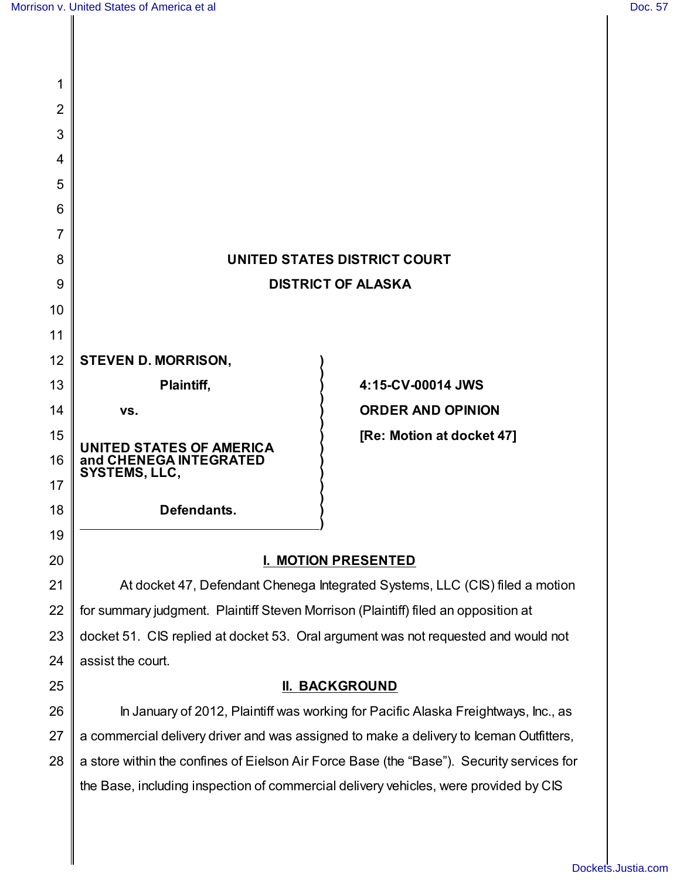| 1  |                                                                                           |                           |
|----|-------------------------------------------------------------------------------------------|---------------------------|
| 2  |                                                                                           |                           |
| 3  |                                                                                           |                           |
| 4  |                                                                                           |                           |
| 5  |                                                                                           |                           |
| 6  |                                                                                           |                           |
| 7  |                                                                                           |                           |
| 8  | UNITED STATES DISTRICT COURT                                                              |                           |
| 9  | <b>DISTRICT OF ALASKA</b>                                                                 |                           |
| 10 |                                                                                           |                           |
| 11 |                                                                                           |                           |
| 12 | <b>STEVEN D. MORRISON,</b>                                                                |                           |
| 13 | <b>Plaintiff,</b>                                                                         | 4:15-CV-00014 JWS         |
| 14 | VS.                                                                                       | <b>ORDER AND OPINION</b>  |
| 15 | <b>UNITED STATES OF AMERICA</b>                                                           | [Re: Motion at docket 47] |
| 16 | and CHENEGA INTEGRATED<br>SYSTEMS, LLC,                                                   |                           |
| 17 |                                                                                           |                           |
| 18 | Defendants.                                                                               |                           |
| 19 |                                                                                           |                           |
| 20 | <b>I. MOTION PRESENTED</b>                                                                |                           |
| 21 | At docket 47, Defendant Chenega Integrated Systems, LLC (CIS) filed a motion              |                           |
| 22 | for summary judgment. Plaintiff Steven Morrison (Plaintiff) filed an opposition at        |                           |
| 23 | docket 51. CIS replied at docket 53. Oral argument was not requested and would not        |                           |
| 24 | assist the court.                                                                         |                           |
| 25 | <b>II. BACKGROUND</b>                                                                     |                           |
| 26 | In January of 2012, Plaintiff was working for Pacific Alaska Freightways, Inc., as        |                           |
| 27 | a commercial delivery driver and was assigned to make a delivery to Iceman Outfitters,    |                           |
| 28 | a store within the confines of Eielson Air Force Base (the "Base"). Security services for |                           |
|    | the Base, including inspection of commercial delivery vehicles, were provided by CIS      |                           |
|    |                                                                                           |                           |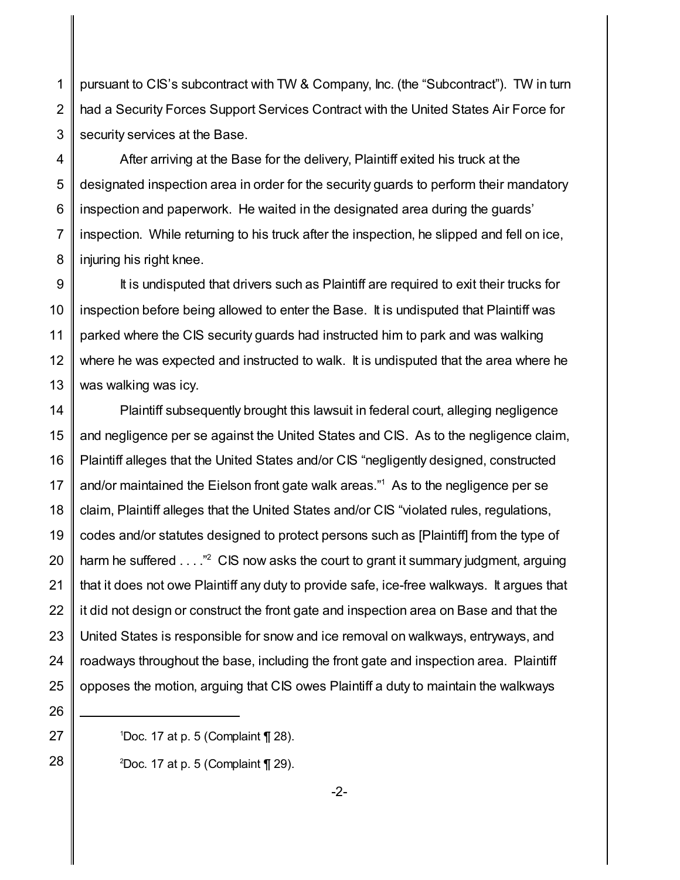1 2 3 pursuant to CIS's subcontract with TW & Company, Inc. (the "Subcontract"). TW in turn had a Security Forces Support Services Contract with the United States Air Force for security services at the Base.

4 5 6 7 8 After arriving at the Base for the delivery, Plaintiff exited his truck at the designated inspection area in order for the security guards to perform their mandatory inspection and paperwork. He waited in the designated area during the guards' inspection. While returning to his truck after the inspection, he slipped and fell on ice, injuring his right knee.

9 10 11 12 13 It is undisputed that drivers such as Plaintiff are required to exit their trucks for inspection before being allowed to enter the Base. It is undisputed that Plaintiff was parked where the CIS security guards had instructed him to park and was walking where he was expected and instructed to walk. It is undisputed that the area where he was walking was icy.

14 15 16 17 18 19 20 21 22 23 24 25 Plaintiff subsequently brought this lawsuit in federal court, alleging negligence and negligence per se against the United States and CIS. As to the negligence claim, Plaintiff alleges that the United States and/or CIS "negligently designed, constructed and/or maintained the Eielson front gate walk areas." <sup>1</sup> As to the negligence per se claim, Plaintiff alleges that the United States and/or CIS "violated rules, regulations, codes and/or statutes designed to protect persons such as [Plaintiff] from the type of harm he suffered . . . ."<sup>2</sup> CIS now asks the court to grant it summary judgment, arguing that it does not owe Plaintiff any duty to provide safe, ice-free walkways. It argues that it did not design or construct the front gate and inspection area on Base and that the United States is responsible for snow and ice removal on walkways, entryways, and roadways throughout the base, including the front gate and inspection area. Plaintiff opposes the motion, arguing that CIS owes Plaintiff a duty to maintain the walkways

26 27

28

<sup>2</sup>Doc. 17 at p. 5 (Complaint  $\P$  29).

-2-

 $1$ Doc. 17 at p. 5 (Complaint  $\P$  28).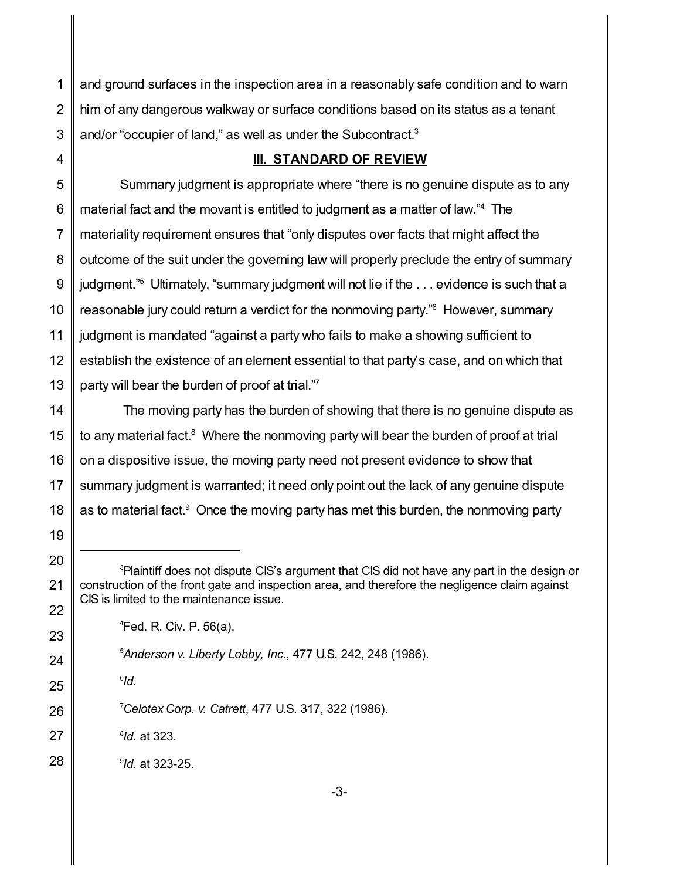and ground surfaces in the inspection area in a reasonably safe condition and to warn him of any dangerous walkway or surface conditions based on its status as a tenant and/or "occupier of land," as well as under the Subcontract.<sup>3</sup>

## **III. STANDARD OF REVIEW**

 Summary judgment is appropriate where "there is no genuine dispute as to any material fact and the movant is entitled to judgment as a matter of law." <sup>4</sup> The materiality requirement ensures that "only disputes over facts that might affect the outcome of the suit under the governing law will properly preclude the entry of summary judgment." <sup>5</sup> Ultimately, "summary judgment will not lie if the . . . evidence is such that a reasonable jury could return a verdict for the nonmoving party." <sup>6</sup> However, summary judgment is mandated "against a party who fails to make a showing sufficient to establish the existence of an element essential to that party's case, and on which that party will bear the burden of proof at trial."7

 The moving party has the burden of showing that there is no genuine dispute as to any material fact.<sup>8</sup> Where the nonmoving party will bear the burden of proof at trial on a dispositive issue, the moving party need not present evidence to show that summary judgment is warranted; it need only point out the lack of any genuine dispute as to material fact.<sup>9</sup> Once the moving party has met this burden, the nonmoving party

Fed. R. Civ. P. 56(a).

*Celotex Corp. v. Catrett*, 477 U.S. 317, 322 (1986).

 *Id.* at 323.

 *Id.* at 323-25.

*Id.*

<sup>&</sup>lt;sup>3</sup>Plaintiff does not dispute CIS's argument that CIS did not have any part in the design or construction of the front gate and inspection area, and therefore the negligence claim against CIS is limited to the maintenance issue.

*Anderson v. Liberty Lobby, Inc.*, 477 U.S. 242, 248 (1986).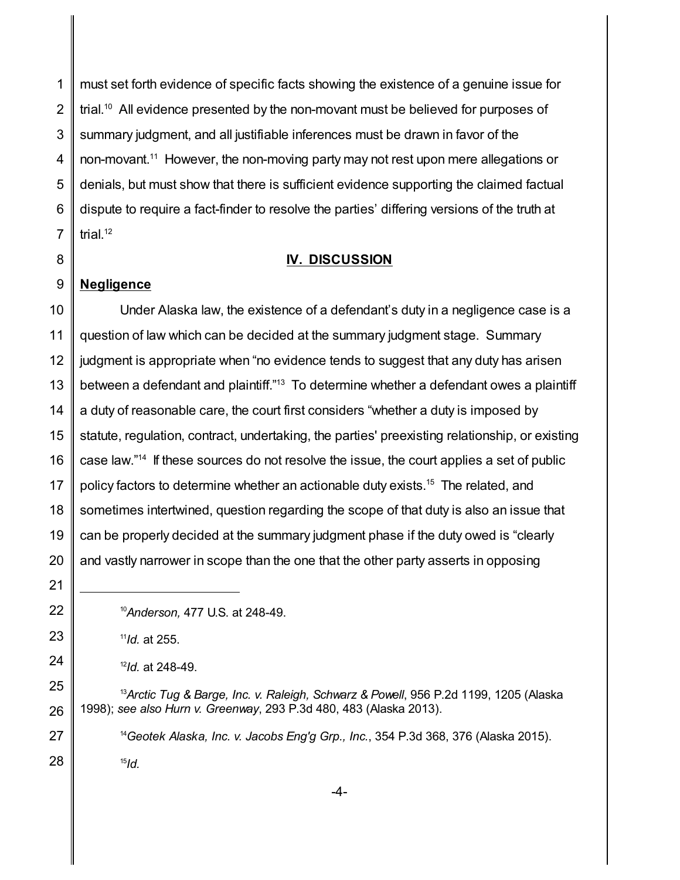must set forth evidence of specific facts showing the existence of a genuine issue for trial. $^{\text{10}}$  All evidence presented by the non-movant must be believed for purposes of summary judgment, and all justifiable inferences must be drawn in favor of the non-movant. <sup>11</sup> However, the non-moving party may not rest upon mere allegations or denials, but must show that there is sufficient evidence supporting the claimed factual dispute to require a fact-finder to resolve the parties' differing versions of the truth at trial.<sup>12</sup>

## **IV. DISCUSSION**

## **Negligence**

 Under Alaska law, the existence of a defendant's duty in a negligence case is a question of law which can be decided at the summary judgment stage. Summary judgment is appropriate when "no evidence tends to suggest that any duty has arisen between a defendant and plaintiff."<sup>13</sup> To determine whether a defendant owes a plaintiff a duty of reasonable care, the court first considers "whether a duty is imposed by statute, regulation, contract, undertaking, the parties' preexisting relationship, or existing case law." 14 If these sources do not resolve the issue, the court applies a set of public policy factors to determine whether an actionable duty exists.<sup>15</sup> The related, and sometimes intertwined, question regarding the scope of that duty is also an issue that can be properly decided at the summary judgment phase if the duty owed is "clearly and vastly narrower in scope than the one that the other party asserts in opposing

*Id.*

- *Id.* at 248-49.
- *Arctic Tug & Barge, Inc. v. Raleigh, Schwarz & Powell*, 956 P.2d 1199, 1205 (Alaska 1998); *see also Hurn v. Greenway*, 293 P.3d 480, 483 (Alaska 2013).

*Geotek Alaska, Inc. v. Jacobs Eng'g Grp., Inc.*, 354 P.3d 368, 376 (Alaska 2015).

*Anderson,* 477 U.S. at 248-49.

*Id.* at 255.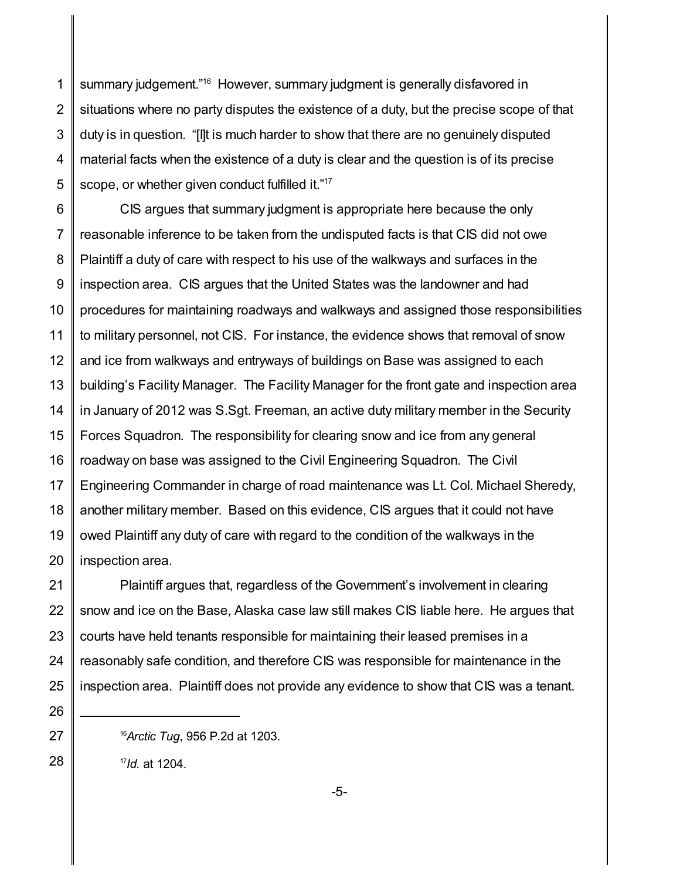1 2 3 4 5 summary judgement." <sup>16</sup> However, summary judgment is generally disfavored in situations where no party disputes the existence of a duty, but the precise scope of that duty is in question. "[I]t is much harder to show that there are no genuinely disputed material facts when the existence of a duty is clear and the question is of its precise scope, or whether given conduct fulfilled it."<sup>17</sup>

6 7 8 9 10 11 12 13 14 15 16 17 18 19 20 CIS argues that summary judgment is appropriate here because the only reasonable inference to be taken from the undisputed facts is that CIS did not owe Plaintiff a duty of care with respect to his use of the walkways and surfaces in the inspection area. CIS argues that the United States was the landowner and had procedures for maintaining roadways and walkways and assigned those responsibilities to military personnel, not CIS. For instance, the evidence shows that removal of snow and ice from walkways and entryways of buildings on Base was assigned to each building's Facility Manager. The Facility Manager for the front gate and inspection area in January of 2012 was S.Sgt. Freeman, an active duty military member in the Security Forces Squadron. The responsibility for clearing snow and ice from any general roadway on base was assigned to the Civil Engineering Squadron. The Civil Engineering Commander in charge of road maintenance was Lt. Col. Michael Sheredy, another military member. Based on this evidence, CIS argues that it could not have owed Plaintiff any duty of care with regard to the condition of the walkways in the inspection area.

21 22 23 24 25 Plaintiff argues that, regardless of the Government's involvement in clearing snow and ice on the Base, Alaska case law still makes CIS liable here. He argues that courts have held tenants responsible for maintaining their leased premises in a reasonably safe condition, and therefore CIS was responsible for maintenance in the inspection area. Plaintiff does not provide any evidence to show that CIS was a tenant.

<sup>16</sup>*Arctic Tug*, 956 P.2d at 1203.

17 *Id.* at 1204.

26

27

28

-5-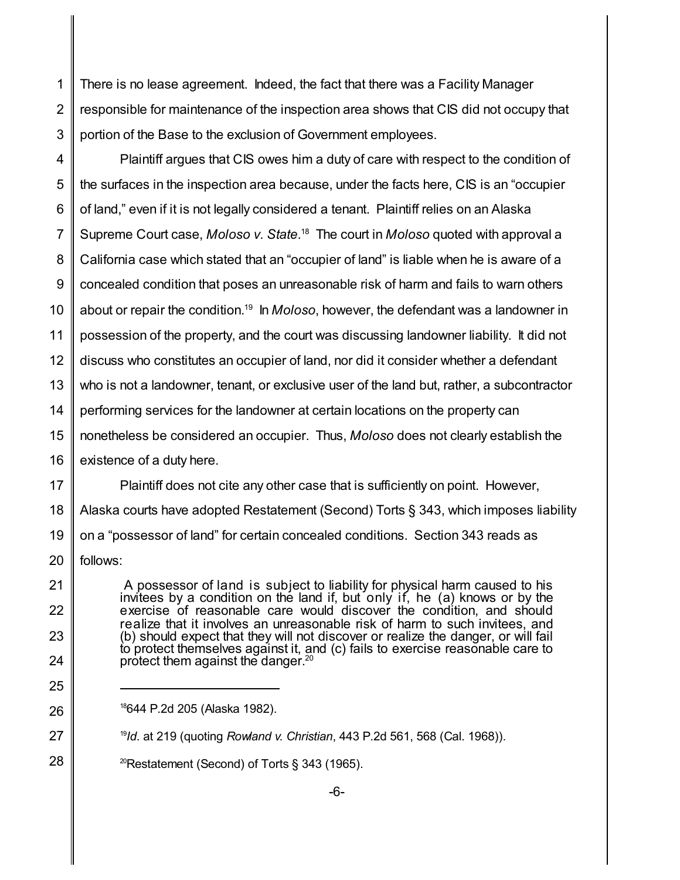1 2 3 There is no lease agreement. Indeed, the fact that there was a Facility Manager responsible for maintenance of the inspection area shows that CIS did not occupy that portion of the Base to the exclusion of Government employees.

4 5 6 7 8 9 10 11 12 13 14 15 16 Plaintiff argues that CIS owes him a duty of care with respect to the condition of the surfaces in the inspection area because, under the facts here, CIS is an "occupier of land," even if it is not legally considered a tenant. Plaintiff relies on an Alaska Supreme Court case, *Moloso v. State*.<sup>18</sup> The court in *Moloso* quoted with approval a California case which stated that an "occupier of land" is liable when he is aware of a concealed condition that poses an unreasonable risk of harm and fails to warn others about or repair the condition. 19 In *Moloso*, however, the defendant was a landowner in possession of the property, and the court was discussing landowner liability. It did not discuss who constitutes an occupier of land, nor did it consider whether a defendant who is not a landowner, tenant, or exclusive user of the land but, rather, a subcontractor performing services for the landowner at certain locations on the property can nonetheless be considered an occupier. Thus, *Moloso* does not clearly establish the existence of a duty here.

17 18 19 20 Plaintiff does not cite any other case that is sufficiently on point. However, Alaska courts have adopted Restatement (Second) Torts § 343, which imposes liability on a "possessor of land" for certain concealed conditions. Section 343 reads as follows:

A possessor of land is subject to liability for physical harm caused to his invitees by a condition on the land if, but only if, he (a) knows or by the exercise of reasonable care would discover the condition, and should realize that it involves an unreasonable risk of harm to such invitees, and (b) should expect that they will not discover or realize the danger, or will fail to protect themselves against it, and (c) fails to exercise reasonable care to protect them against the danger.<sup>20</sup>

25

26

24

21

22

23

- 27 19 *Id*. at 219 (quoting *Rowland v. Christian*, 443 P.2d 561, 568 (Cal. 1968)).
- 28 <sup>20</sup>Restatement (Second) of Torts § 343 (1965).

<sup>18</sup>644 P.2d 205 (Alaska 1982).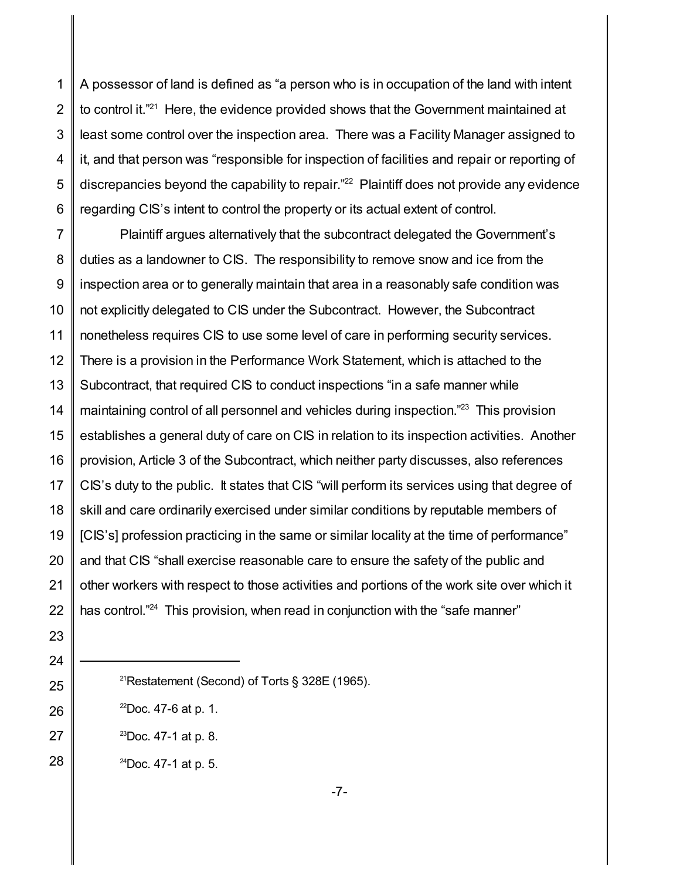1 2 3 4 5 6 A possessor of land is defined as "a person who is in occupation of the land with intent to control it."<sup>21</sup> Here, the evidence provided shows that the Government maintained at least some control over the inspection area. There was a Facility Manager assigned to it, and that person was "responsible for inspection of facilities and repair or reporting of discrepancies beyond the capability to repair." <sup>22</sup> Plaintiff does not provide any evidence regarding CIS's intent to control the property or its actual extent of control.

7 8 9 10 11 12 13 14 15 16 17 18 19 20 22 Plaintiff argues alternatively that the subcontract delegated the Government's duties as a landowner to CIS. The responsibility to remove snow and ice from the inspection area or to generally maintain that area in a reasonably safe condition was not explicitly delegated to CIS under the Subcontract. However, the Subcontract nonetheless requires CIS to use some level of care in performing security services. There is a provision in the Performance Work Statement, which is attached to the Subcontract, that required CIS to conduct inspections "in a safe manner while maintaining control of all personnel and vehicles during inspection."<sup>23</sup> This provision establishes a general duty of care on CIS in relation to its inspection activities. Another provision, Article 3 of the Subcontract, which neither party discusses, also references CIS's duty to the public. It states that CIS "will perform its services using that degree of skill and care ordinarily exercised under similar conditions by reputable members of [CIS's] profession practicing in the same or similar locality at the time of performance" and that CIS "shall exercise reasonable care to ensure the safety of the public and other workers with respect to those activities and portions of the work site over which it has control."<sup>24</sup> This provision, when read in conjunction with the "safe manner"

27

- <sup>21</sup>Restatement (Second) of Torts § 328E (1965).
- $^{22}$ Doc. 47-6 at p. 1.
- $^{23}$ Doc. 47-1 at p. 8.
- 28  $24$ Doc. 47-1 at p. 5.

-7-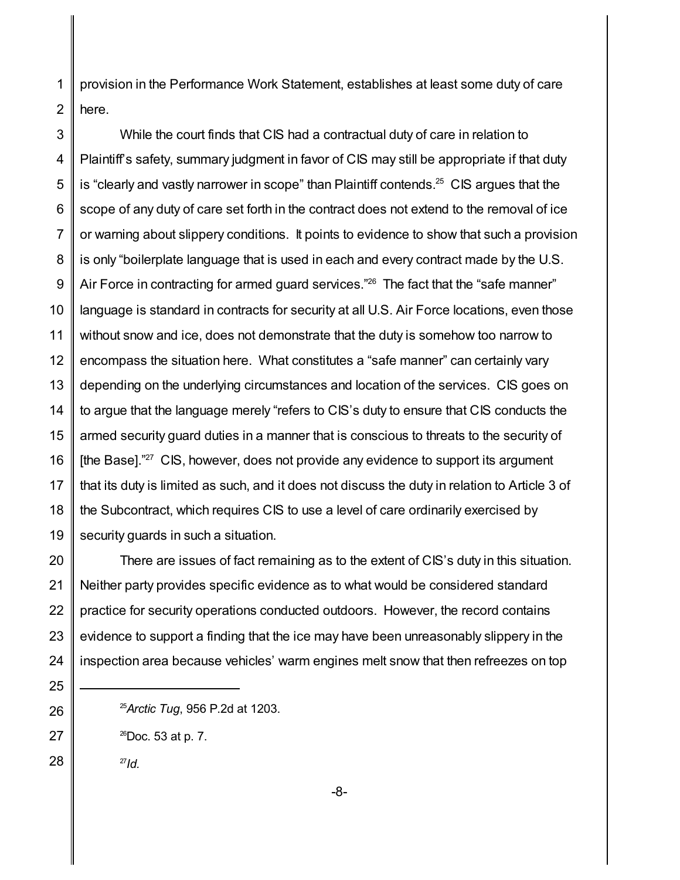1 2 provision in the Performance Work Statement, establishes at least some duty of care here.

3 4 5 6 7 8 9 10 11 12 13 14 15 16 17 18 19 While the court finds that CIS had a contractual duty of care in relation to Plaintiff's safety, summary judgment in favor of CIS may still be appropriate if that duty is "clearly and vastly narrower in scope" than Plaintiff contends.<sup>25</sup> CIS argues that the scope of any duty of care set forth in the contract does not extend to the removal of ice or warning about slippery conditions. It points to evidence to show that such a provision is only "boilerplate language that is used in each and every contract made by the U.S. Air Force in contracting for armed guard services."<sup>26</sup> The fact that the "safe manner" language is standard in contracts for security at all U.S. Air Force locations, even those without snow and ice, does not demonstrate that the duty is somehow too narrow to encompass the situation here. What constitutes a "safe manner" can certainly vary depending on the underlying circumstances and location of the services. CIS goes on to argue that the language merely "refers to CIS's duty to ensure that CIS conducts the armed security guard duties in a manner that is conscious to threats to the security of [the Base]."<sup>27</sup> CIS, however, does not provide any evidence to support its argument that its duty is limited as such, and it does not discuss the duty in relation to Article 3 of the Subcontract, which requires CIS to use a level of care ordinarily exercised by security guards in such a situation.

20 21 22 23 24 There are issues of fact remaining as to the extent of CIS's duty in this situation. Neither party provides specific evidence as to what would be considered standard practice for security operations conducted outdoors. However, the record contains evidence to support a finding that the ice may have been unreasonably slippery in the inspection area because vehicles' warm engines melt snow that then refreezes on top

- <sup>25</sup>*Arctic Tug*, 956 P.2d at 1203.
- $^{26}$ Doc. 53 at p. 7.

27 *Id.*

25

26

27

28

-8-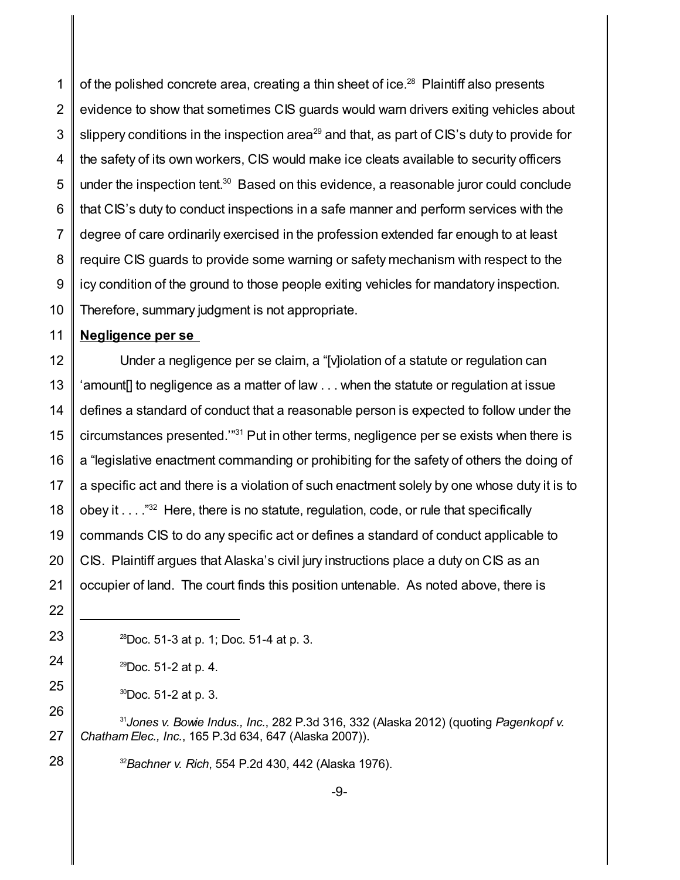1 2 3 4 5 6 7 8 9 10 of the polished concrete area, creating a thin sheet of ice.<sup>28</sup> Plaintiff also presents evidence to show that sometimes CIS guards would warn drivers exiting vehicles about slippery conditions in the inspection area<sup>29</sup> and that, as part of CIS's duty to provide for the safety of its own workers, CIS would make ice cleats available to security officers under the inspection tent.<sup>30</sup> Based on this evidence, a reasonable juror could conclude that CIS's duty to conduct inspections in a safe manner and perform services with the degree of care ordinarily exercised in the profession extended far enough to at least require CIS guards to provide some warning or safety mechanism with respect to the icy condition of the ground to those people exiting vehicles for mandatory inspection. Therefore, summary judgment is not appropriate.

## 11 **Negligence per se**

12 13 14 15 16 17 18 19 20 21 Under a negligence per se claim, a "[v]iolation of a statute or regulation can 'amount[] to negligence as a matter of law . . . when the statute or regulation at issue defines a standard of conduct that a reasonable person is expected to follow under the circumstances presented.'" <sup>31</sup> Put in other terms, negligence per se exists when there is a "legislative enactment commanding or prohibiting for the safety of others the doing of a specific act and there is a violation of such enactment solely by one whose duty it is to obey it . . . ."<sup>32</sup> Here, there is no statute, regulation, code, or rule that specifically commands CIS to do any specific act or defines a standard of conduct applicable to CIS. Plaintiff argues that Alaska's civil jury instructions place a duty on CIS as an occupier of land. The court finds this position untenable. As noted above, there is

22

23

24

25

28

 $^{30}$ Doc. 51-2 at p. 3.

26 27 31 *Jones v. Bowie Indus., Inc.*, 282 P.3d 316, 332 (Alaska 2012) (quoting *Pagenkopf v. Chatham Elec., Inc.*, 165 P.3d 634, 647 (Alaska 2007)).

<sup>32</sup>*Bachner v. Rich*, 554 P.2d 430, 442 (Alaska 1976).

 $^{28}$ Doc. 51-3 at p. 1; Doc. 51-4 at p. 3.

 $^{29}$ Doc. 51-2 at p. 4.